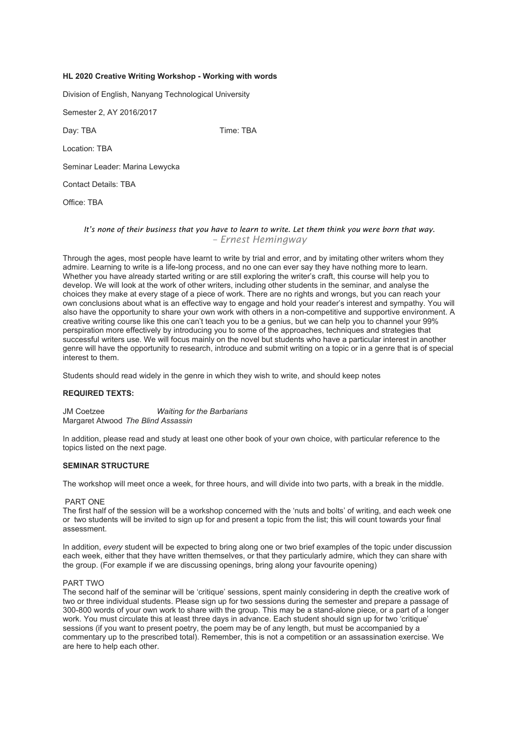# **HL 2020 Creative Writing Workshop - Working with words**

Division of English, Nanyang Technological University

Semester 2, AY 2016/2017

Day: TBA Time: TBA

Location: TBA

Seminar Leader: Marina Lewycka

Contact Details: TBA

Office: TBA

# *It's none of their business that you have to learn to write. Let them think you were born that way. – Ernest Hemingway*

Through the ages, most people have learnt to write by trial and error, and by imitating other writers whom they admire. Learning to write is a life-long process, and no one can ever say they have nothing more to learn. Whether you have already started writing or are still exploring the writer's craft, this course will help you to develop. We will look at the work of other writers, including other students in the seminar, and analyse the choices they make at every stage of a piece of work. There are no rights and wrongs, but you can reach your own conclusions about what is an effective way to engage and hold your reader's interest and sympathy. You will also have the opportunity to share your own work with others in a non-competitive and supportive environment. A creative writing course like this one can't teach you to be a genius, but we can help you to channel your 99% perspiration more effectively by introducing you to some of the approaches, techniques and strategies that successful writers use. We will focus mainly on the novel but students who have a particular interest in another genre will have the opportunity to research, introduce and submit writing on a topic or in a genre that is of special interest to them.

Students should read widely in the genre in which they wish to write, and should keep notes

## **REQUIRED TEXTS:**

JM Coetzee *Waiting for the Barbarians* Margaret Atwood *The Blind Assassin*

In addition, please read and study at least one other book of your own choice, with particular reference to the topics listed on the next page.

# **SEMINAR STRUCTURE**

The workshop will meet once a week, for three hours, and will divide into two parts, with a break in the middle.

### PART ONE

The first half of the session will be a workshop concerned with the 'nuts and bolts' of writing, and each week one or two students will be invited to sign up for and present a topic from the list; this will count towards your final assessment.

In addition, *every* student will be expected to bring along one or two brief examples of the topic under discussion each week, either that they have written themselves, or that they particularly admire, which they can share with the group. (For example if we are discussing openings, bring along your favourite opening)

### PART TWO

The second half of the seminar will be 'critique' sessions, spent mainly considering in depth the creative work of two or three individual students. Please sign up for two sessions during the semester and prepare a passage of 300-800 words of your own work to share with the group. This may be a stand-alone piece, or a part of a longer work. You must circulate this at least three days in advance. Each student should sign up for two 'critique' sessions (if you want to present poetry, the poem may be of any length, but must be accompanied by a commentary up to the prescribed total). Remember, this is not a competition or an assassination exercise. We are here to help each other.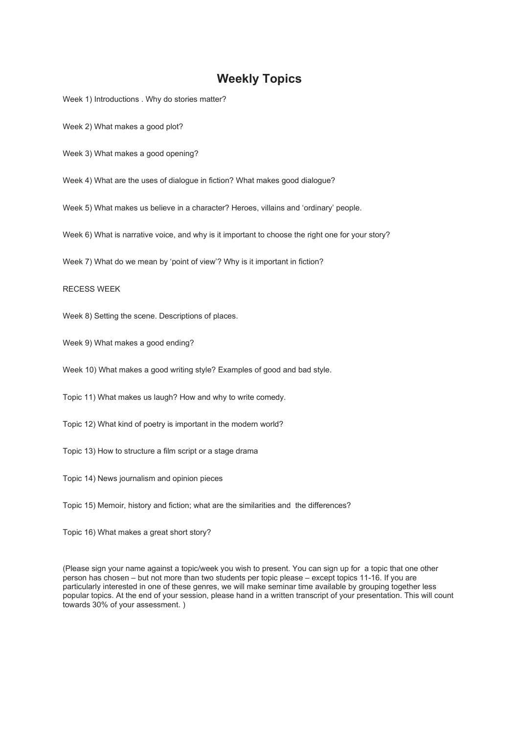# **Weekly Topics**

Week 1) Introductions . Why do stories matter?

Week 2) What makes a good plot?

Week 3) What makes a good opening?

Week 4) What are the uses of dialogue in fiction? What makes good dialogue?

Week 5) What makes us believe in a character? Heroes, villains and 'ordinary' people.

Week 6) What is narrative voice, and why is it important to choose the right one for your story?

Week 7) What do we mean by 'point of view'? Why is it important in fiction?

### RECESS WEEK

Week 8) Setting the scene. Descriptions of places.

Week 9) What makes a good ending?

Week 10) What makes a good writing style? Examples of good and bad style.

Topic 11) What makes us laugh? How and why to write comedy.

Topic 12) What kind of poetry is important in the modern world?

Topic 13) How to structure a film script or a stage drama

Topic 14) News journalism and opinion pieces

Topic 15) Memoir, history and fiction; what are the similarities and the differences?

Topic 16) What makes a great short story?

(Please sign your name against a topic/week you wish to present. You can sign up for a topic that one other person has chosen – but not more than two students per topic please – except topics 11-16. If you are particularly interested in one of these genres, we will make seminar time available by grouping together less popular topics. At the end of your session, please hand in a written transcript of your presentation. This will count towards 30% of your assessment. )